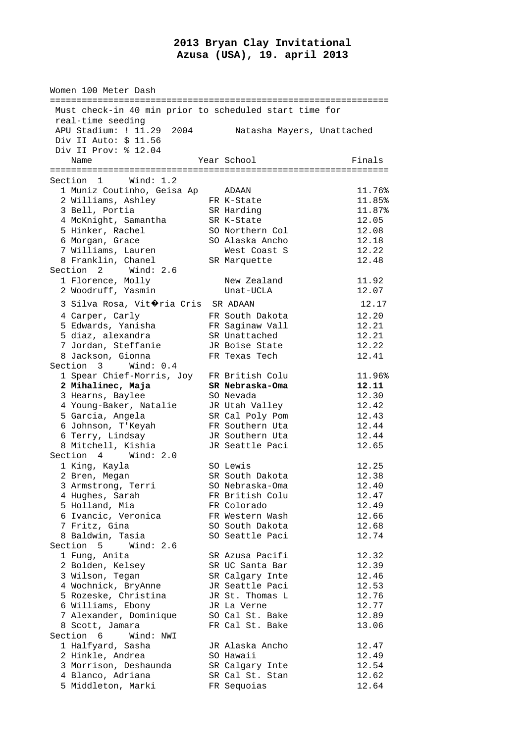## **2013 Bryan Clay Invitational Azusa (USA), 19. april 2013**

Women 100 Meter Dash ================================================================ Must check-in 40 min prior to scheduled start time for real-time seeding APU Stadium: ! 11.29 2004 Natasha Mayers, Unattached Div II Auto: \$ 11.56 Div II Prov: % 12.04 Name **Year School** Finals ================================================================ Section 1 Wind: 1.2 1 Muniz Coutinho, Geisa Ap ADAAN 11.76% 2 Williams, Ashley FR K-State 11.85% 3 Bell, Portia SR Harding 11.87% 4 McKnight, Samantha SR K-State 12.05 5 Hinker, Rachel SO Northern Col 12.08 6 Morgan, Grace SO Alaska Ancho 12.18 7 Williams, Lauren West Coast S 12.22 8 Franklin, Chanel SR Marquette 12.48 Section 2 Wind: 2.6 1 Florence, Molly New Zealand 11.92 2 Woodruff, Yasmin Unat-UCLA 12.07 3 Silva Rosa, Vit $\hat{\mathbf{v}}$ ria Cris SR ADAAN 12.17 4 Carper, Carly FR South Dakota 12.20 5 Edwards, Yanisha FR Saginaw Vall 12.21 5 diaz, alexandra SR Unattached 12.21 7 Jordan, Steffanie JR Boise State 12.22 8 Jackson, Gionna FR Texas Tech 12.41 Section 3 Wind: 0.4 1 Spear Chief-Morris, Joy FR British Colu 11.96%  **2 Mihalinec, Maja SR Nebraska-Oma 12.11**  3 Hearns, Baylee SO Nevada 12.30 4 Young-Baker, Natalie JR Utah Valley 12.42 5 Garcia, Angela SR Cal Poly Pom 12.43 6 Johnson, T'Keyah FR Southern Uta 12.44 6 Terry, Lindsay JR Southern Uta 12.44 8 Mitchell, Kishia JR Seattle Paci 12.65 Section 4 Wind: 2.0 1 King, Kayla SO Lewis 12.25 2 Bren, Megan SR South Dakota 12.38 3 Armstrong, Terri SO Nebraska-Oma 12.40 4 Hughes, Sarah FR British Colu 12.47 5 Holland, Mia FR Colorado 12.49 6 Ivancic, Veronica FR Western Wash 12.66 7 Fritz, Gina SO South Dakota 12.68 8 Baldwin, Tasia SO Seattle Paci 12.74 Section 5 Wind: 2.6 1 Fung, Anita SR Azusa Pacifi 12.32 2 Bolden, Kelsey SR UC Santa Bar 12.39 3 Wilson, Tegan SR Calgary Inte 12.46 4 Wochnick, BryAnne JR Seattle Paci 12.53 5 Rozeske, Christina JR St. Thomas L 12.76 6 Williams, Ebony JR La Verne 12.77 7 Alexander, Dominique SO Cal St. Bake 12.89 8 Scott, Jamara FR Cal St. Bake 13.06 Section 6 Wind: NWI 1 Halfyard, Sasha JR Alaska Ancho 12.47 2 Hinkle, Andrea SO Hawaii 12.49 3 Morrison, Deshaunda SR Calgary Inte 12.54 4 Blanco, Adriana SR Cal St. Stan 12.62 5 Middleton, Marki FR Sequoias 12.64